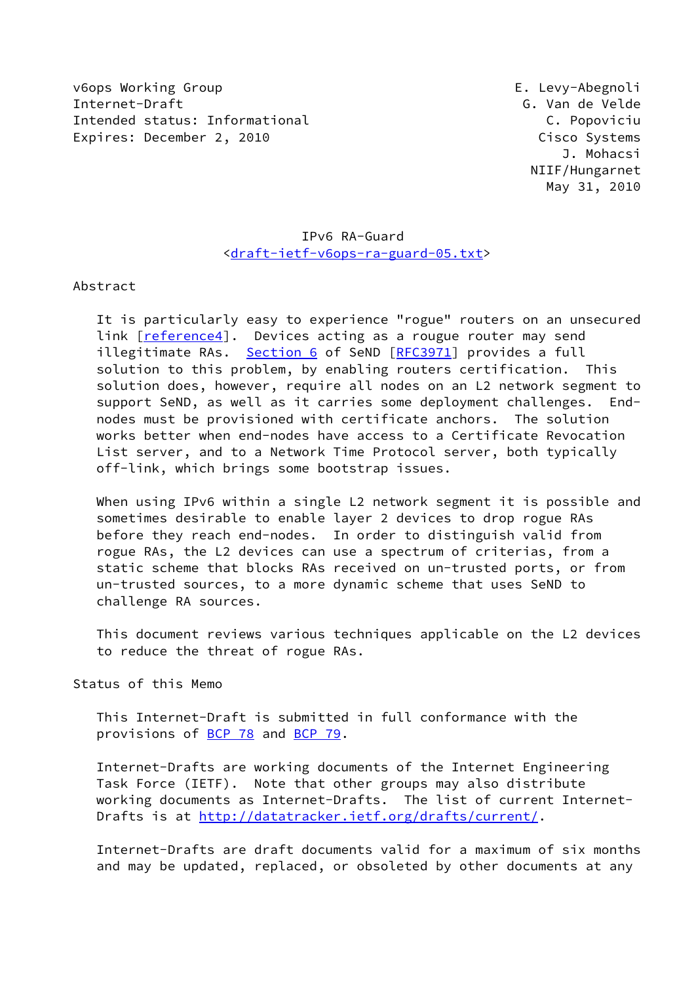v6ops Working Group E. Levy-Abegnoli Internet-Draft G. Van de Velde Intended status: Informational C. Popoviciu Expires: December 2, 2010 Cisco Systems

 J. Mohacsi NIIF/Hungarnet May 31, 2010

# IPv6 RA-Guard [<draft-ietf-v6ops-ra-guard-05.txt](https://datatracker.ietf.org/doc/pdf/draft-ietf-v6ops-ra-guard-05.txt)>

Abstract

 It is particularly easy to experience "rogue" routers on an unsecured link [\[reference4\]](#page-9-0). Devices acting as a rougue router may send illegitimate RAs. [Section 6](#page-8-0) of SeND [\[RFC3971](https://datatracker.ietf.org/doc/pdf/rfc3971)] provides a full solution to this problem, by enabling routers certification. This solution does, however, require all nodes on an L2 network segment to support SeND, as well as it carries some deployment challenges. End nodes must be provisioned with certificate anchors. The solution works better when end-nodes have access to a Certificate Revocation List server, and to a Network Time Protocol server, both typically off-link, which brings some bootstrap issues.

When using IPv6 within a single L2 network segment it is possible and sometimes desirable to enable layer 2 devices to drop rogue RAs before they reach end-nodes. In order to distinguish valid from rogue RAs, the L2 devices can use a spectrum of criterias, from a static scheme that blocks RAs received on un-trusted ports, or from un-trusted sources, to a more dynamic scheme that uses SeND to challenge RA sources.

 This document reviews various techniques applicable on the L2 devices to reduce the threat of rogue RAs.

Status of this Memo

 This Internet-Draft is submitted in full conformance with the provisions of [BCP 78](https://datatracker.ietf.org/doc/pdf/bcp78) and [BCP 79](https://datatracker.ietf.org/doc/pdf/bcp79).

 Internet-Drafts are working documents of the Internet Engineering Task Force (IETF). Note that other groups may also distribute working documents as Internet-Drafts. The list of current Internet- Drafts is at<http://datatracker.ietf.org/drafts/current/>.

 Internet-Drafts are draft documents valid for a maximum of six months and may be updated, replaced, or obsoleted by other documents at any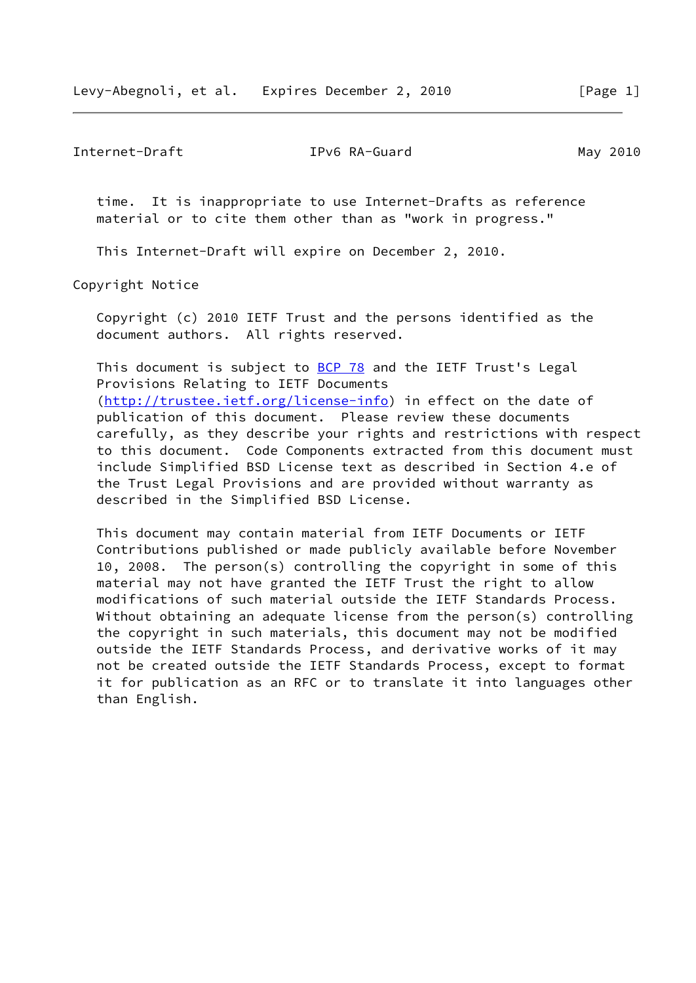Internet-Draft TPv6 RA-Guard May 2010

 time. It is inappropriate to use Internet-Drafts as reference material or to cite them other than as "work in progress."

This Internet-Draft will expire on December 2, 2010.

Copyright Notice

 Copyright (c) 2010 IETF Trust and the persons identified as the document authors. All rights reserved.

This document is subject to **[BCP 78](https://datatracker.ietf.org/doc/pdf/bcp78)** and the IETF Trust's Legal Provisions Relating to IETF Documents [\(http://trustee.ietf.org/license-info](http://trustee.ietf.org/license-info)) in effect on the date of publication of this document. Please review these documents carefully, as they describe your rights and restrictions with respect to this document. Code Components extracted from this document must include Simplified BSD License text as described in Section 4.e of the Trust Legal Provisions and are provided without warranty as described in the Simplified BSD License.

 This document may contain material from IETF Documents or IETF Contributions published or made publicly available before November 10, 2008. The person(s) controlling the copyright in some of this material may not have granted the IETF Trust the right to allow modifications of such material outside the IETF Standards Process. Without obtaining an adequate license from the person(s) controlling the copyright in such materials, this document may not be modified outside the IETF Standards Process, and derivative works of it may not be created outside the IETF Standards Process, except to format it for publication as an RFC or to translate it into languages other than English.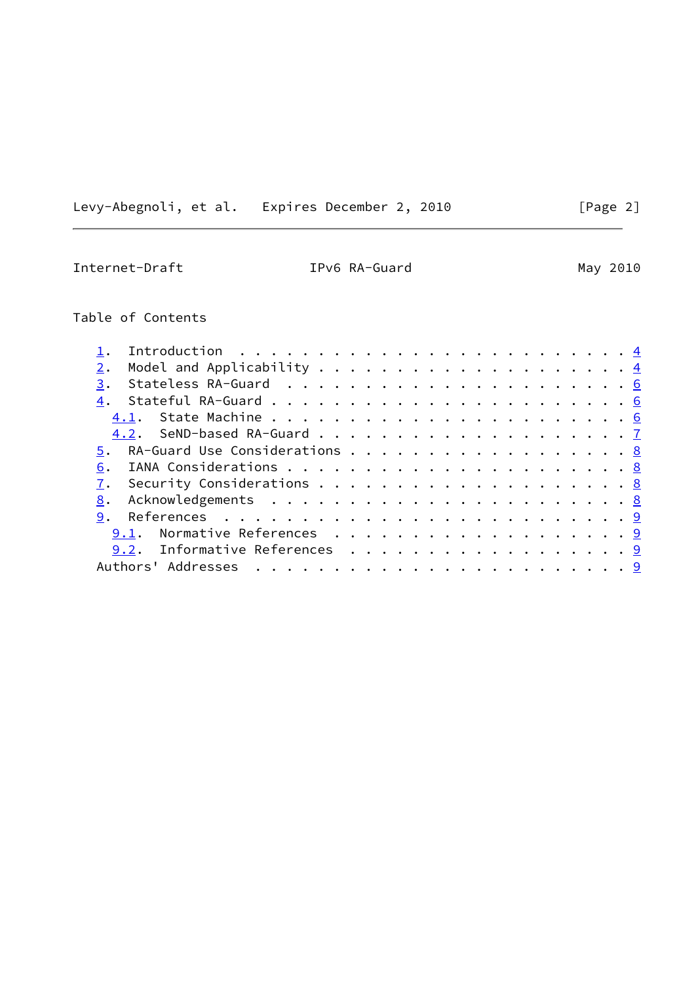Levy-Abegnoli, et al. Expires December 2, 2010 [Page 2]

Internet-Draft **IPv6 RA-Guard** May 2010

Table of Contents

| 3.                               |  |  |  |  |
|----------------------------------|--|--|--|--|
|                                  |  |  |  |  |
|                                  |  |  |  |  |
|                                  |  |  |  |  |
| 5. RA-Guard Use Considerations 8 |  |  |  |  |
| 6.                               |  |  |  |  |
| 7.                               |  |  |  |  |
| 8.                               |  |  |  |  |
|                                  |  |  |  |  |
| 9.1. Normative References 9      |  |  |  |  |
| 9.2. Informative References 9    |  |  |  |  |
|                                  |  |  |  |  |
|                                  |  |  |  |  |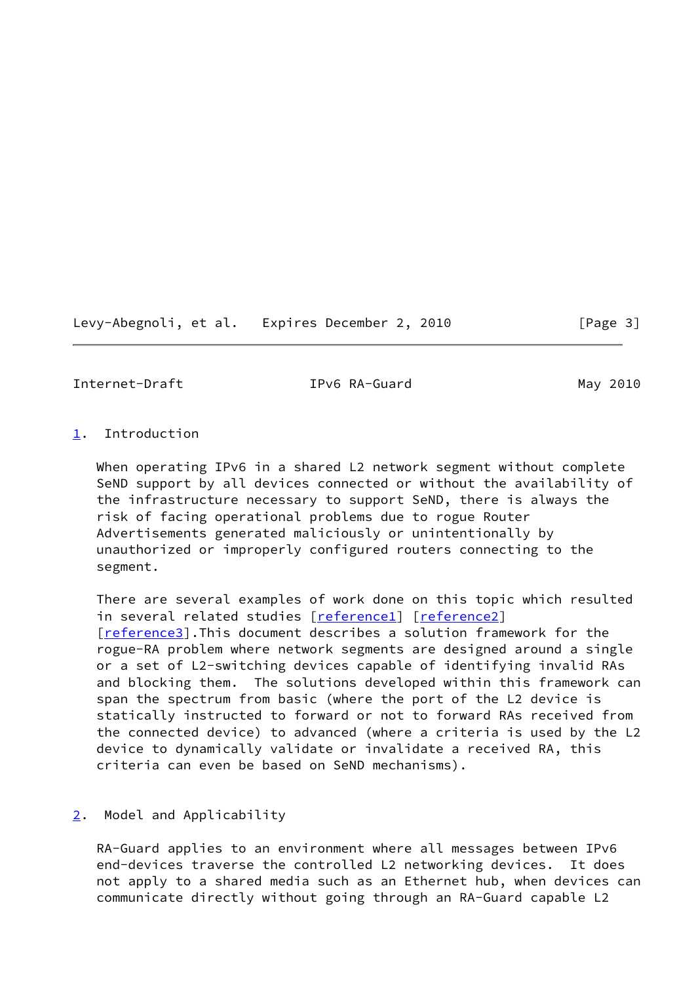Levy-Abegnoli, et al. Expires December 2, 2010 [Page 3]

<span id="page-3-1"></span>Internet-Draft TPv6 RA-Guard May 2010

# <span id="page-3-0"></span>[1](#page-3-0). Introduction

 When operating IPv6 in a shared L2 network segment without complete SeND support by all devices connected or without the availability of the infrastructure necessary to support SeND, there is always the risk of facing operational problems due to rogue Router Advertisements generated maliciously or unintentionally by unauthorized or improperly configured routers connecting to the segment.

 There are several examples of work done on this topic which resulted in several related studies [[reference1\]](#page-9-5) [\[reference2\]](#page-9-6) [\[reference3\]](#page-9-7).This document describes a solution framework for the rogue-RA problem where network segments are designed around a single or a set of L2-switching devices capable of identifying invalid RAs and blocking them. The solutions developed within this framework can span the spectrum from basic (where the port of the L2 device is statically instructed to forward or not to forward RAs received from the connected device) to advanced (where a criteria is used by the L2 device to dynamically validate or invalidate a received RA, this criteria can even be based on SeND mechanisms).

## <span id="page-3-2"></span>[2](#page-3-2). Model and Applicability

 RA-Guard applies to an environment where all messages between IPv6 end-devices traverse the controlled L2 networking devices. It does not apply to a shared media such as an Ethernet hub, when devices can communicate directly without going through an RA-Guard capable L2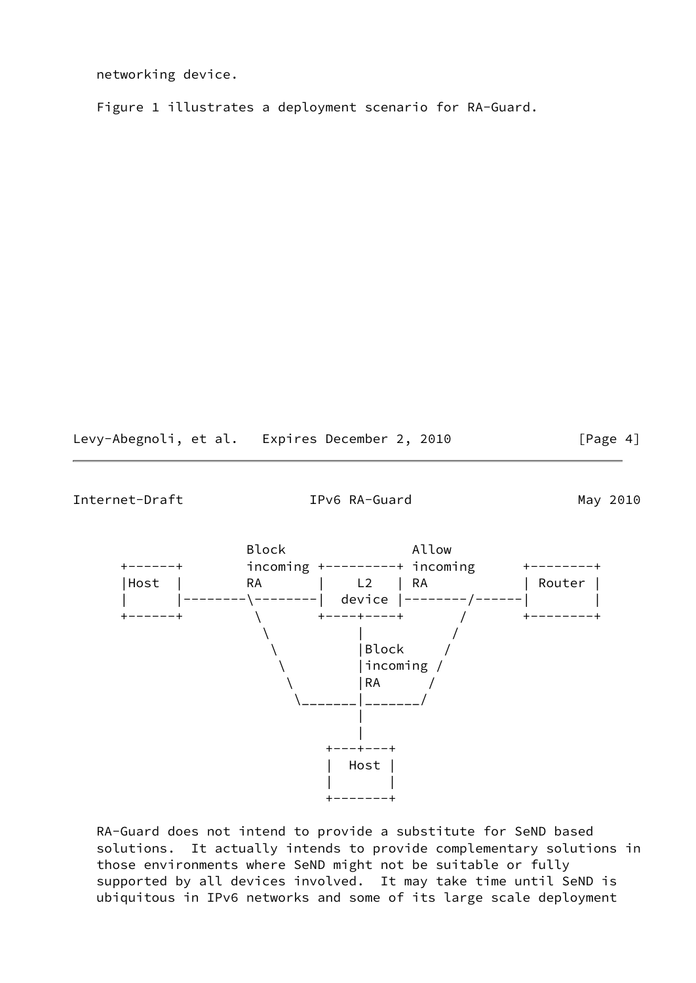networking device.

Figure 1 illustrates a deployment scenario for RA-Guard.

Levy-Abegnoli, et al. Expires December 2, 2010 [Page 4]

Internet-Draft TPv6 RA-Guard May 2010



 RA-Guard does not intend to provide a substitute for SeND based solutions. It actually intends to provide complementary solutions in those environments where SeND might not be suitable or fully supported by all devices involved. It may take time until SeND is ubiquitous in IPv6 networks and some of its large scale deployment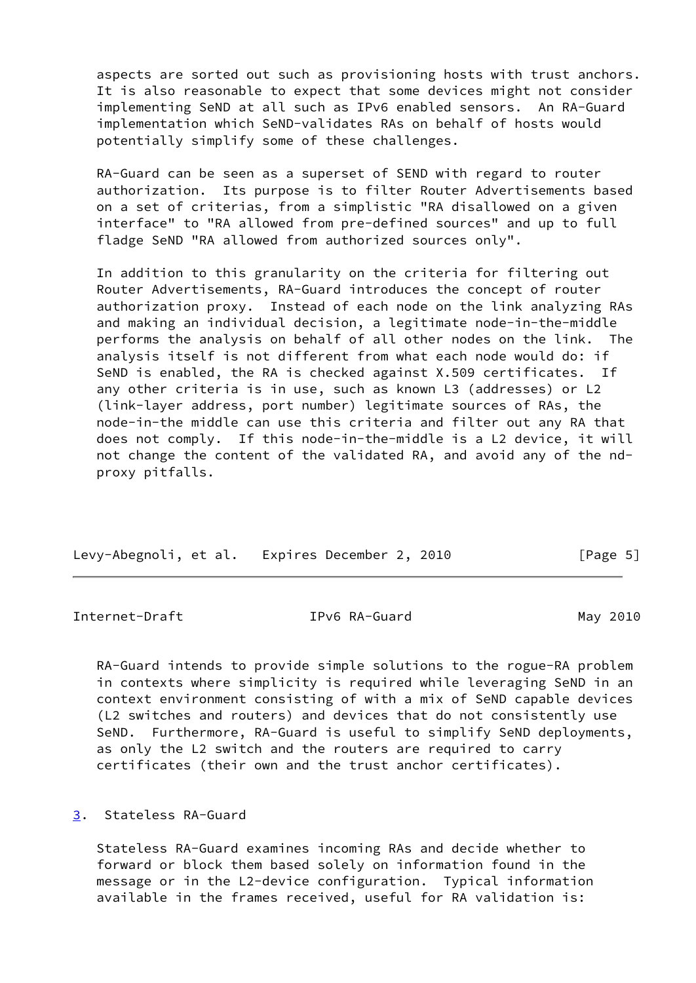aspects are sorted out such as provisioning hosts with trust anchors. It is also reasonable to expect that some devices might not consider implementing SeND at all such as IPv6 enabled sensors. An RA-Guard implementation which SeND-validates RAs on behalf of hosts would potentially simplify some of these challenges.

 RA-Guard can be seen as a superset of SEND with regard to router authorization. Its purpose is to filter Router Advertisements based on a set of criterias, from a simplistic "RA disallowed on a given interface" to "RA allowed from pre-defined sources" and up to full fladge SeND "RA allowed from authorized sources only".

 In addition to this granularity on the criteria for filtering out Router Advertisements, RA-Guard introduces the concept of router authorization proxy. Instead of each node on the link analyzing RAs and making an individual decision, a legitimate node-in-the-middle performs the analysis on behalf of all other nodes on the link. The analysis itself is not different from what each node would do: if SeND is enabled, the RA is checked against X.509 certificates. If any other criteria is in use, such as known L3 (addresses) or L2 (link-layer address, port number) legitimate sources of RAs, the node-in-the middle can use this criteria and filter out any RA that does not comply. If this node-in-the-middle is a L2 device, it will not change the content of the validated RA, and avoid any of the nd proxy pitfalls.

| Levy-Abegnoli, et al. Expires December 2, 2010 | [Page 5] |
|------------------------------------------------|----------|

<span id="page-5-1"></span>Internet-Draft TPv6 RA-Guard May 2010

 RA-Guard intends to provide simple solutions to the rogue-RA problem in contexts where simplicity is required while leveraging SeND in an context environment consisting of with a mix of SeND capable devices (L2 switches and routers) and devices that do not consistently use SeND. Furthermore, RA-Guard is useful to simplify SeND deployments, as only the L2 switch and the routers are required to carry certificates (their own and the trust anchor certificates).

## <span id="page-5-0"></span>[3](#page-5-0). Stateless RA-Guard

 Stateless RA-Guard examines incoming RAs and decide whether to forward or block them based solely on information found in the message or in the L2-device configuration. Typical information available in the frames received, useful for RA validation is: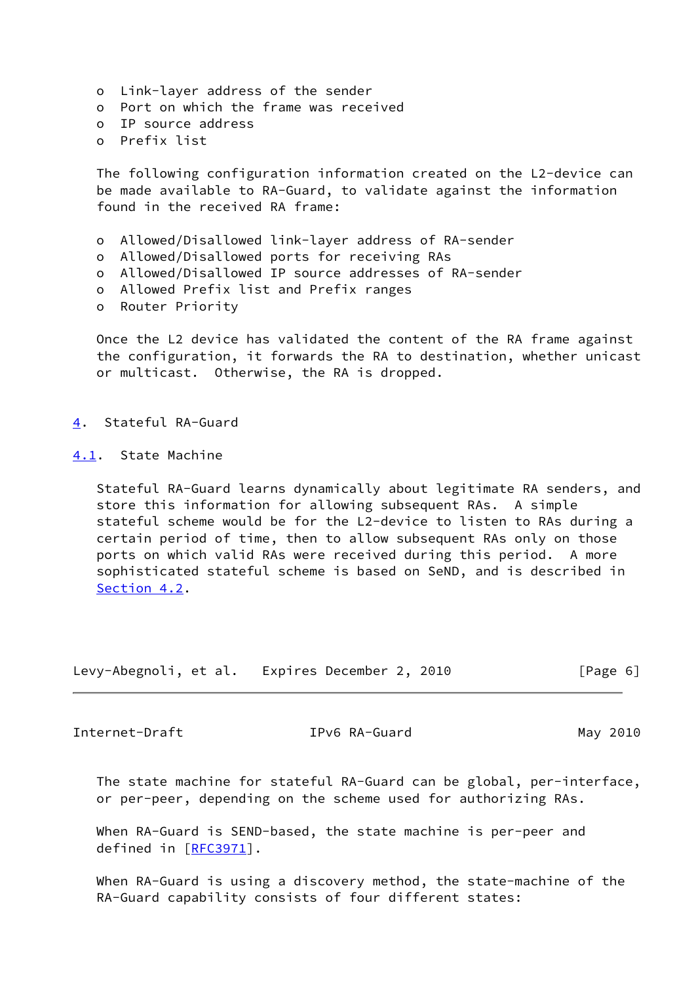- o Link-layer address of the sender
- o Port on which the frame was received
- o IP source address
- o Prefix list

 The following configuration information created on the L2-device can be made available to RA-Guard, to validate against the information found in the received RA frame:

- o Allowed/Disallowed link-layer address of RA-sender
- o Allowed/Disallowed ports for receiving RAs
- o Allowed/Disallowed IP source addresses of RA-sender
- o Allowed Prefix list and Prefix ranges
- o Router Priority

Once the L2 device has validated the content of the RA frame against the configuration, it forwards the RA to destination, whether unicast or multicast. Otherwise, the RA is dropped.

<span id="page-6-0"></span>[4](#page-6-0). Stateful RA-Guard

<span id="page-6-1"></span>[4.1](#page-6-1). State Machine

 Stateful RA-Guard learns dynamically about legitimate RA senders, and store this information for allowing subsequent RAs. A simple stateful scheme would be for the L2-device to listen to RAs during a certain period of time, then to allow subsequent RAs only on those ports on which valid RAs were received during this period. A more sophisticated stateful scheme is based on SeND, and is described in [Section 4.2](#page-7-0).

|  | Levy-Abegnoli, et al. Expires December 2, 2010 | [Page 6] |
|--|------------------------------------------------|----------|
|--|------------------------------------------------|----------|

<span id="page-6-2"></span>Internet-Draft TPv6 RA-Guard May 2010

 The state machine for stateful RA-Guard can be global, per-interface, or per-peer, depending on the scheme used for authorizing RAs.

 When RA-Guard is SEND-based, the state machine is per-peer and defined in [[RFC3971\]](https://datatracker.ietf.org/doc/pdf/rfc3971).

 When RA-Guard is using a discovery method, the state-machine of the RA-Guard capability consists of four different states: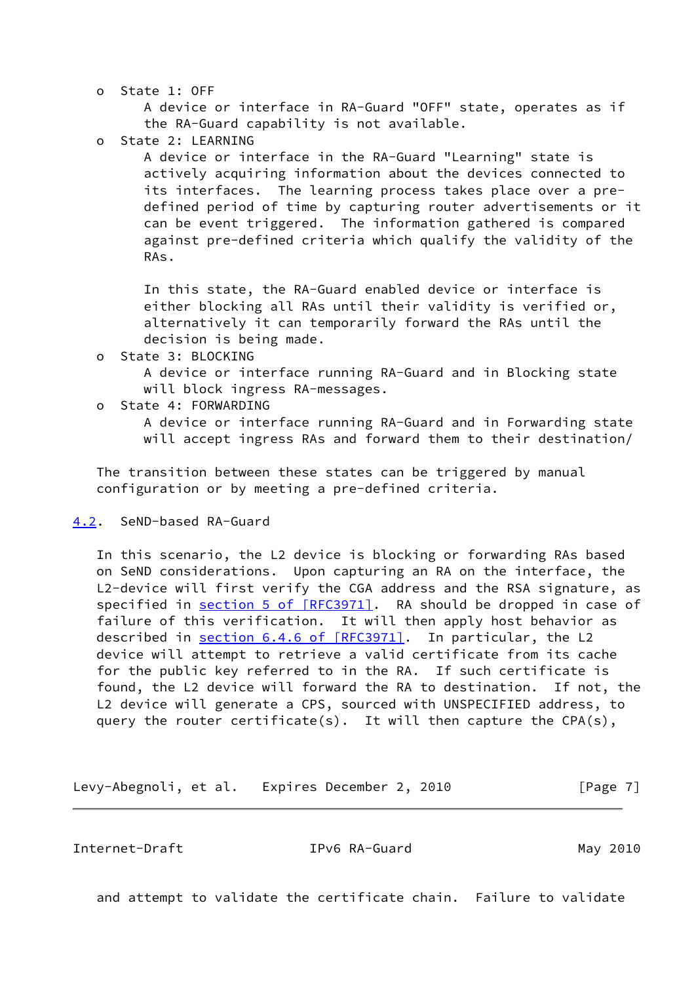o State 1: OFF

 A device or interface in RA-Guard "OFF" state, operates as if the RA-Guard capability is not available.

o State 2: LEARNING

 A device or interface in the RA-Guard "Learning" state is actively acquiring information about the devices connected to its interfaces. The learning process takes place over a pre defined period of time by capturing router advertisements or it can be event triggered. The information gathered is compared against pre-defined criteria which qualify the validity of the RAs.

 In this state, the RA-Guard enabled device or interface is either blocking all RAs until their validity is verified or, alternatively it can temporarily forward the RAs until the decision is being made.

o State 3: BLOCKING

 A device or interface running RA-Guard and in Blocking state will block ingress RA-messages.

o State 4: FORWARDING

 A device or interface running RA-Guard and in Forwarding state will accept ingress RAs and forward them to their destination/

 The transition between these states can be triggered by manual configuration or by meeting a pre-defined criteria.

# <span id="page-7-0"></span>[4.2](#page-7-0). SeND-based RA-Guard

 In this scenario, the L2 device is blocking or forwarding RAs based on SeND considerations. Upon capturing an RA on the interface, the L2-device will first verify the CGA address and the RSA signature, as specified in section [5 of \[RFC3971\]](https://datatracker.ietf.org/doc/pdf/rfc3971#section-5). RA should be dropped in case of failure of this verification. It will then apply host behavior as described in section [6.4.6 of \[RFC3971\].](https://datatracker.ietf.org/doc/pdf/rfc3971#section-6.4.6) In particular, the L2 device will attempt to retrieve a valid certificate from its cache for the public key referred to in the RA. If such certificate is found, the L2 device will forward the RA to destination. If not, the L2 device will generate a CPS, sourced with UNSPECIFIED address, to query the router certificate(s). It will then capture the CPA(s),

Levy-Abegnoli, et al. Expires December 2, 2010 [Page 7]

<span id="page-7-1"></span>Internet-Draft IPv6 RA-Guard May 2010

and attempt to validate the certificate chain. Failure to validate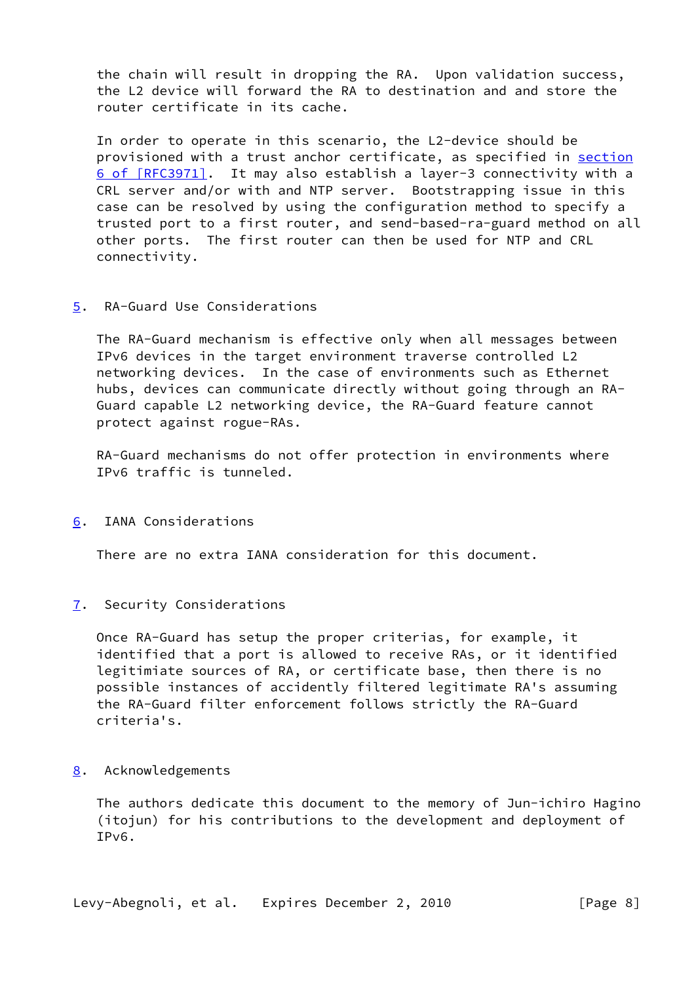the chain will result in dropping the RA. Upon validation success, the L2 device will forward the RA to destination and and store the router certificate in its cache.

 In order to operate in this scenario, the L2-device should be provisioned with a trust anchor certificate, as specified in [section](https://datatracker.ietf.org/doc/pdf/rfc3971#section-6) [6 of \[RFC3971\]](https://datatracker.ietf.org/doc/pdf/rfc3971#section-6). It may also establish a layer-3 connectivity with a CRL server and/or with and NTP server. Bootstrapping issue in this case can be resolved by using the configuration method to specify a trusted port to a first router, and send-based-ra-guard method on all other ports. The first router can then be used for NTP and CRL connectivity.

# <span id="page-8-1"></span>[5](#page-8-1). RA-Guard Use Considerations

 The RA-Guard mechanism is effective only when all messages between IPv6 devices in the target environment traverse controlled L2 networking devices. In the case of environments such as Ethernet hubs, devices can communicate directly without going through an RA- Guard capable L2 networking device, the RA-Guard feature cannot protect against rogue-RAs.

 RA-Guard mechanisms do not offer protection in environments where IPv6 traffic is tunneled.

<span id="page-8-0"></span>[6](#page-8-0). IANA Considerations

There are no extra IANA consideration for this document.

<span id="page-8-2"></span>[7](#page-8-2). Security Considerations

 Once RA-Guard has setup the proper criterias, for example, it identified that a port is allowed to receive RAs, or it identified legitimiate sources of RA, or certificate base, then there is no possible instances of accidently filtered legitimate RA's assuming the RA-Guard filter enforcement follows strictly the RA-Guard criteria's.

## <span id="page-8-3"></span>[8](#page-8-3). Acknowledgements

 The authors dedicate this document to the memory of Jun-ichiro Hagino (itojun) for his contributions to the development and deployment of IPv6.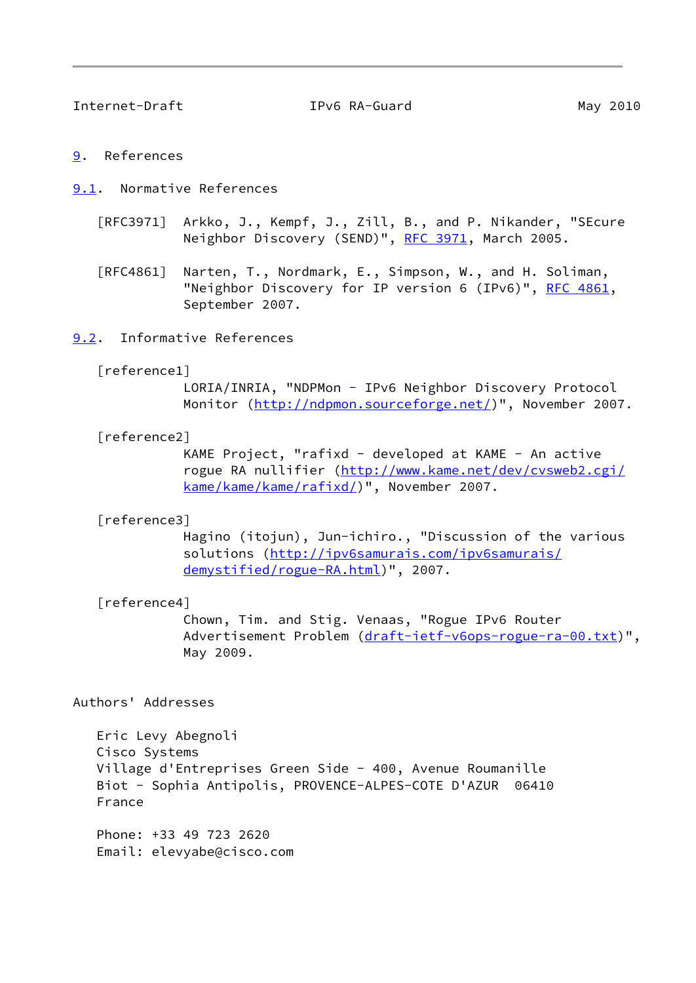<span id="page-9-2"></span>Internet-Draft TPv6 RA-Guard May 2010

#### <span id="page-9-1"></span>[9](#page-9-1). References

<span id="page-9-3"></span>[9.1](#page-9-3). Normative References

- [RFC3971] Arkko, J., Kempf, J., Zill, B., and P. Nikander, "SEcure Neighbor Discovery (SEND)", [RFC 3971,](https://datatracker.ietf.org/doc/pdf/rfc3971) March 2005.
- [RFC4861] Narten, T., Nordmark, E., Simpson, W., and H. Soliman, "Neighbor Discovery for IP version 6 (IPv6)", [RFC 4861](https://datatracker.ietf.org/doc/pdf/rfc4861), September 2007.

### <span id="page-9-4"></span>[9.2](#page-9-4). Informative References

#### <span id="page-9-5"></span>[reference1]

 LORIA/INRIA, "NDPMon - IPv6 Neighbor Discovery Protocol Monitor (<http://ndpmon.sourceforge.net/>)", November 2007.

#### <span id="page-9-6"></span>[reference2]

 KAME Project, "rafixd - developed at KAME - An active rogue RA nullifier ([http://www.kame.net/dev/cvsweb2.cgi/](http://www.kame.net/dev/cvsweb2.cgi/kame/kame/kame/rafixd/) [kame/kame/kame/rafixd/](http://www.kame.net/dev/cvsweb2.cgi/kame/kame/kame/rafixd/))", November 2007.

#### <span id="page-9-7"></span>[reference3]

 Hagino (itojun), Jun-ichiro., "Discussion of the various solutions [\(http://ipv6samurais.com/ipv6samurais/](http://ipv6samurais.com/ipv6samurais/demystified/rogue-RA.html) [demystified/rogue-RA.html\)](http://ipv6samurais.com/ipv6samurais/demystified/rogue-RA.html)", 2007.

#### <span id="page-9-0"></span>[reference4]

 Chown, Tim. and Stig. Venaas, "Rogue IPv6 Router Advertisement Problem [\(draft-ietf-v6ops-rogue-ra-00.txt](https://datatracker.ietf.org/doc/pdf/draft-ietf-v6ops-rogue-ra-00.txt))", May 2009.

## Authors' Addresses

 Eric Levy Abegnoli Cisco Systems Village d'Entreprises Green Side - 400, Avenue Roumanille Biot - Sophia Antipolis, PROVENCE-ALPES-COTE D'AZUR 06410 France

 Phone: +33 49 723 2620 Email: elevyabe@cisco.com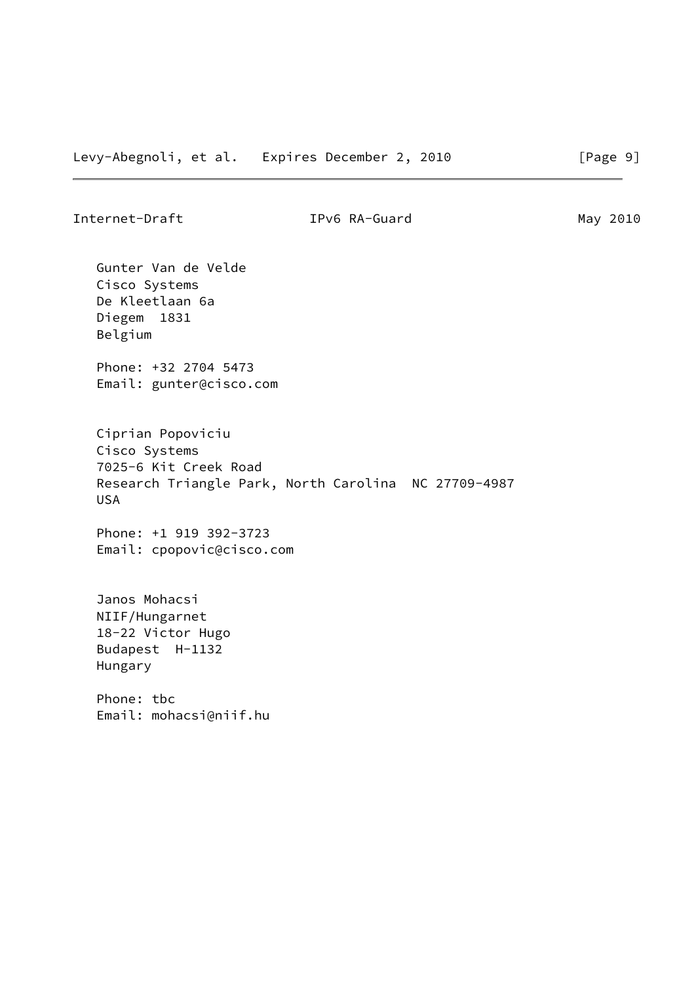Internet-Draft TPv6 RA-Guard May 2010

 Gunter Van de Velde Cisco Systems De Kleetlaan 6a Diegem 1831 Belgium

 Phone: +32 2704 5473 Email: gunter@cisco.com

 Ciprian Popoviciu Cisco Systems 7025-6 Kit Creek Road Research Triangle Park, North Carolina NC 27709-4987 USA

 Phone: +1 919 392-3723 Email: cpopovic@cisco.com

 Janos Mohacsi NIIF/Hungarnet 18-22 Victor Hugo Budapest H-1132 Hungary

 Phone: tbc Email: mohacsi@niif.hu